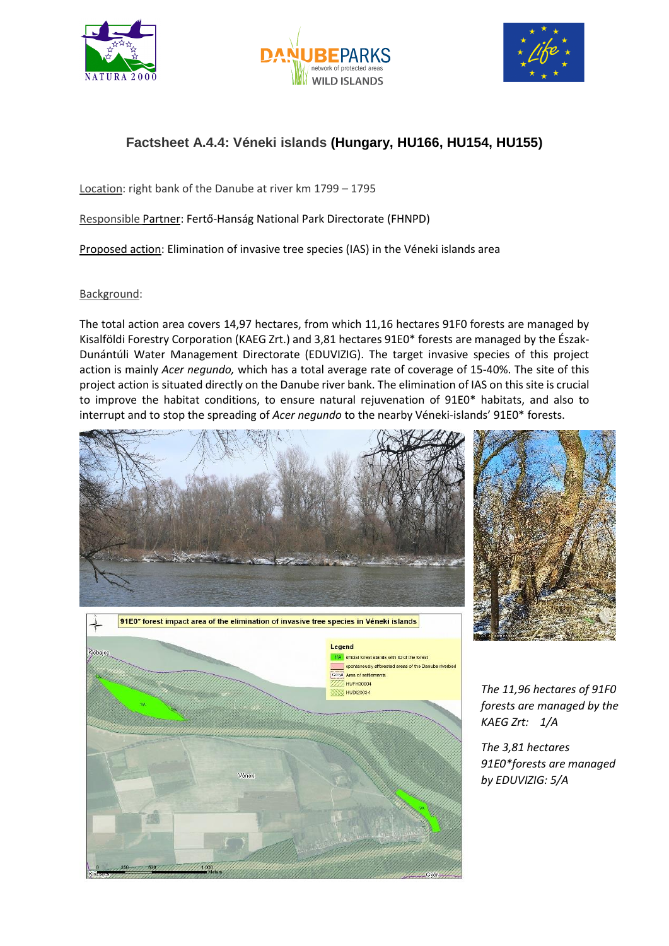





## **Factsheet A.4.4: Véneki islands (Hungary, HU166, HU154, HU155)**

Location: right bank of the Danube at river km 1799 – 1795

Responsible Partner: Fertő-Hanság National Park Directorate (FHNPD)

Proposed action: Elimination of invasive tree species (IAS) in the Véneki islands area

## Background:

The total action area covers 14,97 hectares, from which 11,16 hectares 91F0 forests are managed by Kisalföldi Forestry Corporation (KAEG Zrt.) and 3,81 hectares 91E0\* forests are managed by the Észak-Dunántúli Water Management Directorate (EDUVIZIG). The target invasive species of this project action is mainly *Acer negundo,* which has a total average rate of coverage of 15-40%. The site of this project action is situated directly on the Danube river bank. The elimination of IAS on this site is crucial to improve the habitat conditions, to ensure natural rejuvenation of 91E0\* habitats, and also to interrupt and to stop the spreading of *Acer negundo* to the nearby Véneki-islands' 91E0\* forests.







*The 11,96 hectares of 91F0 forests are managed by the KAEG Zrt: 1/A*

*The 3,81 hectares 91E0\*forests are managed by EDUVIZIG: 5/A*